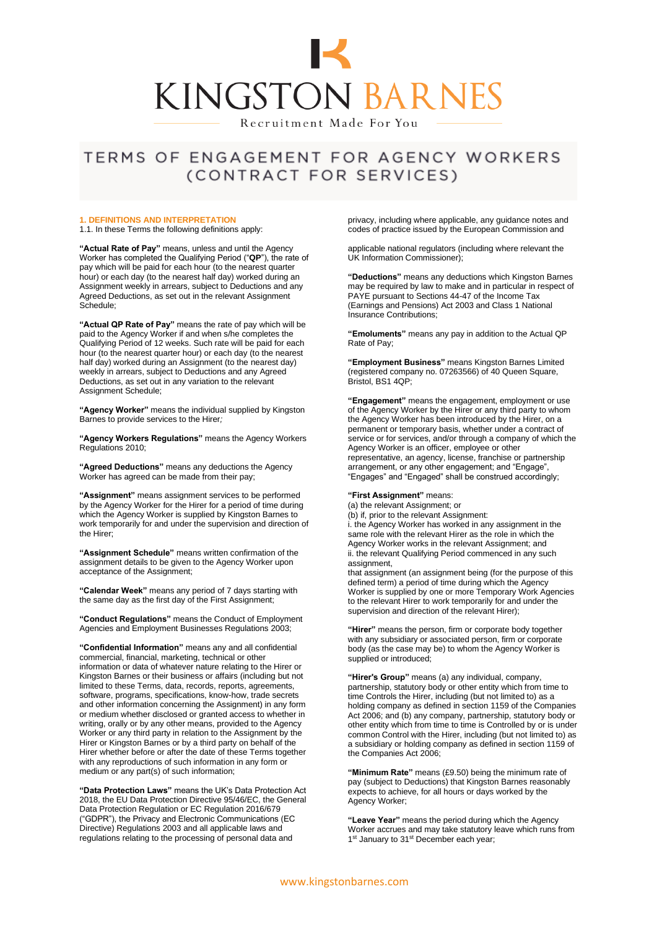

## TERMS OF ENGAGEMENT FOR AGENCY WORKERS (CONTRACT FOR SERVICES)

#### **1. DEFINITIONS AND INTERPRETATION**

1.1. In these Terms the following definitions apply:

**"Actual Rate of Pay"** means, unless and until the Agency Worker has completed the Qualifying Period ("**QP**"), the rate of pay which will be paid for each hour (to the nearest quarter hour) or each day (to the nearest half day) worked during an Assignment weekly in arrears, subject to Deductions and any Agreed Deductions, as set out in the relevant Assignment Schedule;

**"Actual QP Rate of Pay"** means the rate of pay which will be paid to the Agency Worker if and when s/he completes the Qualifying Period of 12 weeks. Such rate will be paid for each hour (to the nearest quarter hour) or each day (to the nearest half day) worked during an Assignment (to the nearest day) weekly in arrears, subject to Deductions and any Agreed Deductions, as set out in any variation to the relevant Assignment Schedule;

**"Agency Worker"** means the individual supplied by Kingston Barnes to provide services to the Hirer*;*

**"Agency Workers Regulations"** means the Agency Workers Regulations 2010;

**"Agreed Deductions"** means any deductions the Agency Worker has agreed can be made from their pay;

**"Assignment"** means assignment services to be performed by the Agency Worker for the Hirer for a period of time during which the Agency Worker is supplied by Kingston Barnes to work temporarily for and under the supervision and direction of the Hirer;

**"Assignment Schedule"** means written confirmation of the assignment details to be given to the Agency Worker upon acceptance of the Assignment;

**"Calendar Week"** means any period of 7 days starting with the same day as the first day of the First Assignment;

**"Conduct Regulations"** means the Conduct of Employment Agencies and Employment Businesses Regulations 2003;

**"Confidential Information"** means any and all confidential commercial, financial, marketing, technical or other information or data of whatever nature relating to the Hirer or Kingston Barnes or their business or affairs (including but not limited to these Terms, data, records, reports, agreements, software, programs, specifications, know-how, trade secrets and other information concerning the Assignment) in any form or medium whether disclosed or granted access to whether in writing, orally or by any other means, provided to the Agency Worker or any third party in relation to the Assignment by the Hirer or Kingston Barnes or by a third party on behalf of the Hirer whether before or after the date of these Terms together with any reproductions of such information in any form or medium or any part(s) of such information;

**"Data Protection Laws"** means the UK's Data Protection Act 2018, the EU Data Protection Directive 95/46/EC, the General Data Protection Regulation or EC Regulation 2016/679 ("GDPR"), the Privacy and Electronic Communications (EC Directive) Regulations 2003 and all applicable laws and regulations relating to the processing of personal data and

privacy, including where applicable, any guidance notes and codes of practice issued by the European Commission and

applicable national regulators (including where relevant the UK Information Commissioner);

**"Deductions"** means any deductions which Kingston Barnes may be required by law to make and in particular in respect of PAYE pursuant to Sections 44-47 of the Income Tax (Earnings and Pensions) Act 2003 and Class 1 National Insurance Contributions;

**"Emoluments"** means any pay in addition to the Actual QP Rate of Pay;

**"Employment Business"** means Kingston Barnes Limited (registered company no. 07263566) of 40 Queen Square, Bristol, BS1 4QP;

**"Engagement"** means the engagement, employment or use of the Agency Worker by the Hirer or any third party to whom the Agency Worker has been introduced by the Hirer, on a permanent or temporary basis, whether under a contract of service or for services, and/or through a company of which the Agency Worker is an officer, employee or other representative, an agency, license, franchise or partnership arrangement, or any other engagement; and "Engage", "Engages" and "Engaged" shall be construed accordingly;

#### **"First Assignment"** means:

(a) the relevant Assignment; or (b) if, prior to the relevant Assignment: i. the Agency Worker has worked in any assignment in the same role with the relevant Hirer as the role in which the Agency Worker works in the relevant Assignment; and ii. the relevant Qualifying Period commenced in any such assignment,

that assignment (an assignment being (for the purpose of this defined term) a period of time during which the Agency Worker is supplied by one or more Temporary Work Agencies to the relevant Hirer to work temporarily for and under the supervision and direction of the relevant Hirer);

**"Hirer"** means the person, firm or corporate body together with any subsidiary or associated person, firm or corporate body (as the case may be) to whom the Agency Worker is supplied or introduced;

**"Hirer's Group"** means (a) any individual, company, partnership, statutory body or other entity which from time to time Controls the Hirer, including (but not limited to) as a holding company as defined in section 1159 of the Companies Act 2006; and (b) any company, partnership, statutory body or other entity which from time to time is Controlled by or is under common Control with the Hirer, including (but not limited to) as a subsidiary or holding company as defined in section 1159 of the Companies Act 2006;

**"Minimum Rate"** means (£9.50) being the minimum rate of pay (subject to Deductions) that Kingston Barnes reasonably expects to achieve, for all hours or days worked by the Agency Worker;

**"Leave Year"** means the period during which the Agency Worker accrues and may take statutory leave which runs from 1<sup>st</sup> January to 31<sup>st</sup> December each year;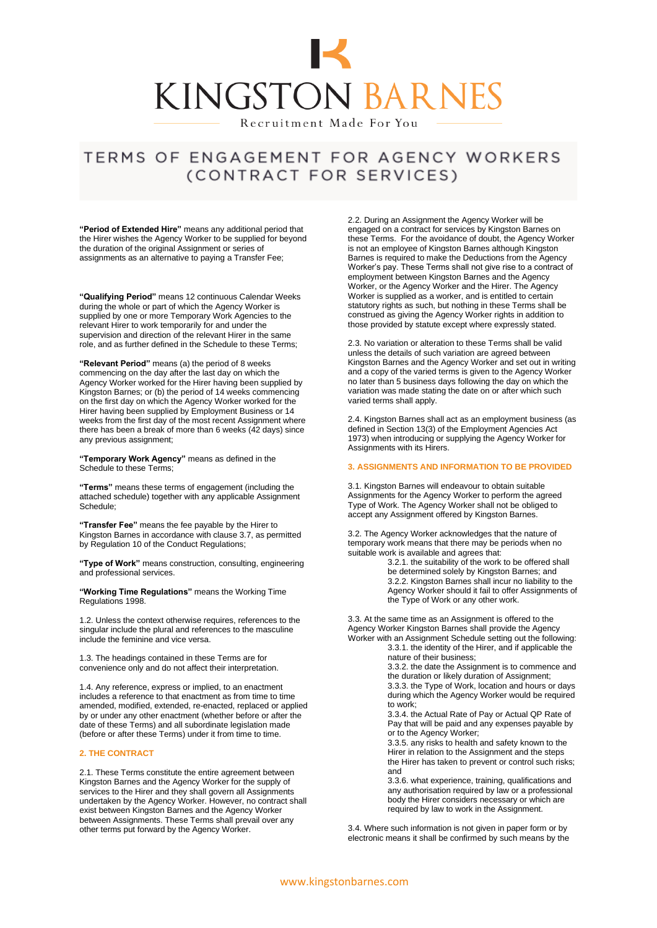

## TERMS OF ENGAGEMENT FOR AGENCY WORKERS (CONTRACT FOR SERVICES)

**"Period of Extended Hire"** means any additional period that the Hirer wishes the Agency Worker to be supplied for beyond the duration of the original Assignment or series of assignments as an alternative to paying a Transfer Fee;

**"Qualifying Period"** means 12 continuous Calendar Weeks during the whole or part of which the Agency Worker is supplied by one or more Temporary Work Agencies to the relevant Hirer to work temporarily for and under the supervision and direction of the relevant Hirer in the same role, and as further defined in the Schedule to these Terms;

**"Relevant Period"** means (a) the period of 8 weeks commencing on the day after the last day on which the Agency Worker worked for the Hirer having been supplied by Kingston Barnes; or (b) the period of 14 weeks commencing on the first day on which the Agency Worker worked for the Hirer having been supplied by Employment Business or 14 weeks from the first day of the most recent Assignment where there has been a break of more than 6 weeks (42 days) since any previous assignment;

**"Temporary Work Agency"** means as defined in the Schedule to these Terms;

**"Terms"** means these terms of engagement (including the attached schedule) together with any applicable Assignment Schedule;

**"Transfer Fee"** means the fee payable by the Hirer to Kingston Barnes in accordance with clause 3.7, as permitted by Regulation 10 of the Conduct Regulations;

**"Type of Work"** means construction, consulting, engineering and professional services.

**"Working Time Regulations"** means the Working Time Regulations 1998.

1.2. Unless the context otherwise requires, references to the singular include the plural and references to the masculine include the feminine and vice versa.

1.3. The headings contained in these Terms are for convenience only and do not affect their interpretation.

1.4. Any reference, express or implied, to an enactment includes a reference to that enactment as from time to time amended, modified, extended, re-enacted, replaced or applied by or under any other enactment (whether before or after the date of these Terms) and all subordinate legislation made (before or after these Terms) under it from time to time.

### **2. THE CONTRACT**

2.1. These Terms constitute the entire agreement between Kingston Barnes and the Agency Worker for the supply of services to the Hirer and they shall govern all Assignments undertaken by the Agency Worker. However, no contract shall exist between Kingston Barnes and the Agency Worker between Assignments. These Terms shall prevail over any other terms put forward by the Agency Worker.

2.2. During an Assignment the Agency Worker will be engaged on a contract for services by Kingston Barnes on these Terms. For the avoidance of doubt, the Agency Worker is not an employee of Kingston Barnes although Kingston Barnes is required to make the Deductions from the Agency Worker's pay. These Terms shall not give rise to a contract of employment between Kingston Barnes and the Agency Worker, or the Agency Worker and the Hirer. The Agency Worker is supplied as a worker, and is entitled to certain statutory rights as such, but nothing in these Terms shall be construed as giving the Agency Worker rights in addition to those provided by statute except where expressly stated.

2.3. No variation or alteration to these Terms shall be valid unless the details of such variation are agreed between Kingston Barnes and the Agency Worker and set out in writing and a copy of the varied terms is given to the Agency Worker no later than 5 business days following the day on which the variation was made stating the date on or after which such varied terms shall apply.

2.4. Kingston Barnes shall act as an employment business (as defined in Section 13(3) of the Employment Agencies Act 1973) when introducing or supplying the Agency Worker for Assignments with its Hirers.

### **3. ASSIGNMENTS AND INFORMATION TO BE PROVIDED**

3.1. Kingston Barnes will endeavour to obtain suitable Assignments for the Agency Worker to perform the agreed Type of Work. The Agency Worker shall not be obliged to accept any Assignment offered by Kingston Barnes.

3.2. The Agency Worker acknowledges that the nature of temporary work means that there may be periods when no suitable work is available and agrees that:

3.2.1. the suitability of the work to be offered shall be determined solely by Kingston Barnes; and 3.2.2. Kingston Barnes shall incur no liability to the Agency Worker should it fail to offer Assignments of the Type of Work or any other work.

3.3. At the same time as an Assignment is offered to the Agency Worker Kingston Barnes shall provide the Agency Worker with an Assignment Schedule setting out the following:

3.3.1. the identity of the Hirer, and if applicable the nature of their business;

3.3.2. the date the Assignment is to commence and the duration or likely duration of Assignment; 3.3.3. the Type of Work, location and hours or days during which the Agency Worker would be required

to work; 3.3.4. the Actual Rate of Pay or Actual QP Rate of Pay that will be paid and any expenses payable by or to the Agency Worker;

3.3.5. any risks to health and safety known to the Hirer in relation to the Assignment and the steps the Hirer has taken to prevent or control such risks; and

3.3.6. what experience, training, qualifications and any authorisation required by law or a professional body the Hirer considers necessary or which are required by law to work in the Assignment.

3.4. Where such information is not given in paper form or by electronic means it shall be confirmed by such means by the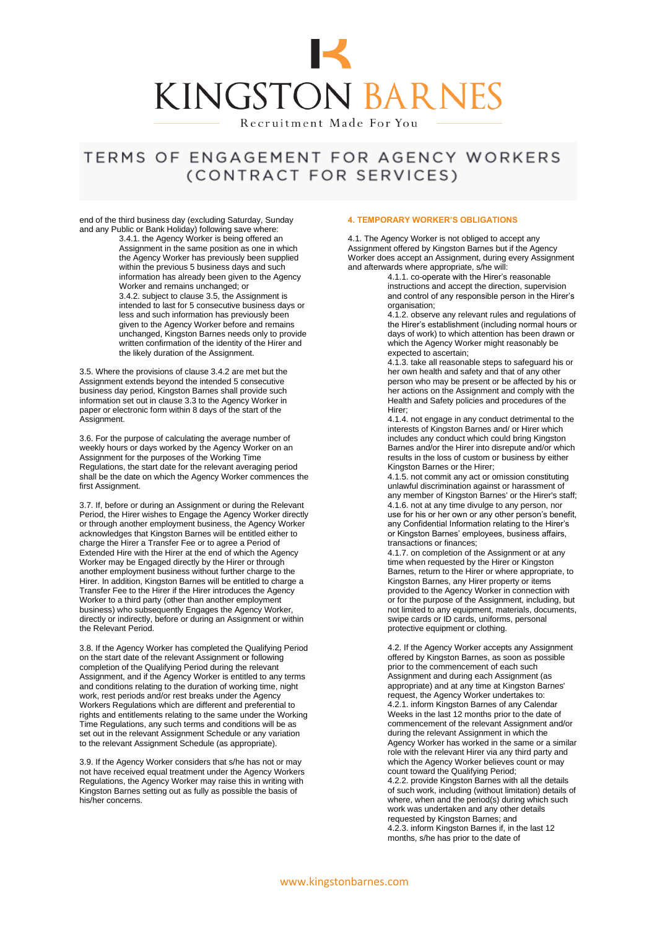

# TERMS OF ENGAGEMENT FOR AGENCY WORKERS (CONTRACT FOR SERVICES)

end of the third business day (excluding Saturday, Sunday and any Public or Bank Holiday) following save where:

3.4.1. the Agency Worker is being offered an Assignment in the same position as one in which the Agency Worker has previously been supplied within the previous 5 business days and such information has already been given to the Agency Worker and remains unchanged; or 3.4.2. subject to clause 3.5, the Assignment is intended to last for 5 consecutive business days or less and such information has previously been given to the Agency Worker before and remains unchanged, Kingston Barnes needs only to provide written confirmation of the identity of the Hirer and the likely duration of the Assignment.

3.5. Where the provisions of clause 3.4.2 are met but the Assignment extends beyond the intended 5 consecutive business day period, Kingston Barnes shall provide such information set out in clause 3.3 to the Agency Worker in paper or electronic form within 8 days of the start of the Assignment.

3.6. For the purpose of calculating the average number of weekly hours or days worked by the Agency Worker on an Assignment for the purposes of the Working Time Regulations, the start date for the relevant averaging period shall be the date on which the Agency Worker commences the first Assignment.

3.7. If, before or during an Assignment or during the Relevant Period, the Hirer wishes to Engage the Agency Worker directly or through another employment business, the Agency Worker acknowledges that Kingston Barnes will be entitled either to charge the Hirer a Transfer Fee or to agree a Period of Extended Hire with the Hirer at the end of which the Agency Worker may be Engaged directly by the Hirer or through another employment business without further charge to the Hirer. In addition, Kingston Barnes will be entitled to charge a Transfer Fee to the Hirer if the Hirer introduces the Agency Worker to a third party (other than another employment business) who subsequently Engages the Agency Worker, directly or indirectly, before or during an Assignment or within the Relevant Period.

3.8. If the Agency Worker has completed the Qualifying Period on the start date of the relevant Assignment or following completion of the Qualifying Period during the relevant Assignment, and if the Agency Worker is entitled to any terms and conditions relating to the duration of working time, night work, rest periods and/or rest breaks under the Agency Workers Regulations which are different and preferential to rights and entitlements relating to the same under the Working Time Regulations, any such terms and conditions will be as set out in the relevant Assignment Schedule or any variation to the relevant Assignment Schedule (as appropriate).

3.9. If the Agency Worker considers that s/he has not or may not have received equal treatment under the Agency Workers Regulations, the Agency Worker may raise this in writing with Kingston Barnes setting out as fully as possible the basis of his/her concerns.

### **4. TEMPORARY WORKER'S OBLIGATIONS**

4.1. The Agency Worker is not obliged to accept any Assignment offered by Kingston Barnes but if the Agency Worker does accept an Assignment, during every Assignment and afterwards where appropriate, s/he will:

4.1.1. co-operate with the Hirer's reasonable instructions and accept the direction, supervision and control of any responsible person in the Hirer's organisation;

4.1.2. observe any relevant rules and regulations of the Hirer's establishment (including normal hours or days of work) to which attention has been drawn or which the Agency Worker might reasonably be expected to ascertain;

4.1.3. take all reasonable steps to safeguard his or her own health and safety and that of any other person who may be present or be affected by his or her actions on the Assignment and comply with the Health and Safety policies and procedures of the Hirer;

4.1.4. not engage in any conduct detrimental to the interests of Kingston Barnes and/ or Hirer which includes any conduct which could bring Kingston Barnes and/or the Hirer into disrepute and/or which results in the loss of custom or business by either Kingston Barnes or the Hirer;

4.1.5. not commit any act or omission constituting unlawful discrimination against or harassment of any member of Kingston Barnes' or the Hirer's staff; 4.1.6. not at any time divulge to any person, nor use for his or her own or any other person's benefit, any Confidential Information relating to the Hirer's or Kingston Barnes' employees, business affairs, transactions or finances;

4.1.7. on completion of the Assignment or at any time when requested by the Hirer or Kingston Barnes, return to the Hirer or where appropriate, to Kingston Barnes, any Hirer property or items provided to the Agency Worker in connection with or for the purpose of the Assignment, including, but not limited to any equipment, materials, documents, swipe cards or ID cards, uniforms, personal protective equipment or clothing.

4.2. If the Agency Worker accepts any Assignment offered by Kingston Barnes, as soon as possible prior to the commencement of each such Assignment and during each Assignment (as appropriate) and at any time at Kingston Barnes' request, the Agency Worker undertakes to: 4.2.1. inform Kingston Barnes of any Calendar Weeks in the last 12 months prior to the date of commencement of the relevant Assignment and/or during the relevant Assignment in which the Agency Worker has worked in the same or a similar role with the relevant Hirer via any third party and which the Agency Worker believes count or may count toward the Qualifying Period; 4.2.2. provide Kingston Barnes with all the details of such work, including (without limitation) details of where, when and the period(s) during which such work was undertaken and any other details requested by Kingston Barnes; and 4.2.3. inform Kingston Barnes if, in the last 12 months, s/he has prior to the date of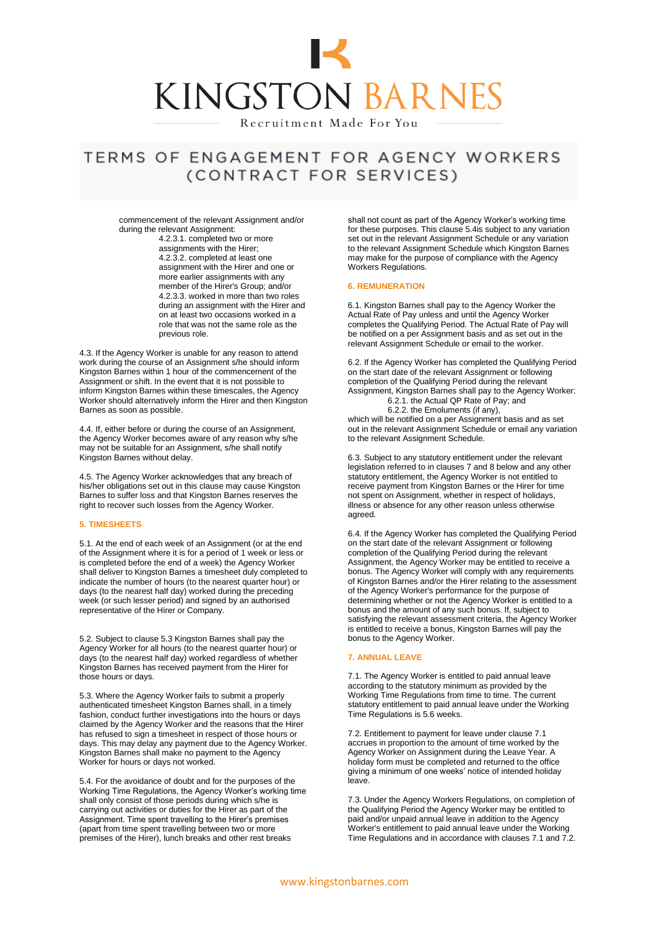

## TERMS OF ENGAGEMENT FOR AGENCY WORKERS (CONTRACT FOR SERVICES)

commencement of the relevant Assignment and/or during the relevant Assignment:

4.2.3.1. completed two or more assignments with the Hirer; 4.2.3.2. completed at least one assignment with the Hirer and one or more earlier assignments with any member of the Hirer's Group; and/or 4.2.3.3. worked in more than two roles during an assignment with the Hirer and on at least two occasions worked in a role that was not the same role as the previous role.

4.3. If the Agency Worker is unable for any reason to attend work during the course of an Assignment s/he should inform Kingston Barnes within 1 hour of the commencement of the Assignment or shift. In the event that it is not possible to inform Kingston Barnes within these timescales, the Agency Worker should alternatively inform the Hirer and then Kingston Barnes as soon as possible.

4.4. If, either before or during the course of an Assignment, the Agency Worker becomes aware of any reason why s/he may not be suitable for an Assignment, s/he shall notify Kingston Barnes without delay.

4.5. The Agency Worker acknowledges that any breach of his/her obligations set out in this clause may cause Kingston Barnes to suffer loss and that Kingston Barnes reserves the right to recover such losses from the Agency Worker.

### **5. TIMESHEETS**

5.1. At the end of each week of an Assignment (or at the end of the Assignment where it is for a period of 1 week or less or is completed before the end of a week) the Agency Worker shall deliver to Kingston Barnes a timesheet duly completed to indicate the number of hours (to the nearest quarter hour) or days (to the nearest half day) worked during the preceding week (or such lesser period) and signed by an authorised representative of the Hirer or Company.

5.2. Subject to clause 5.3 Kingston Barnes shall pay the Agency Worker for all hours (to the nearest quarter hour) or days (to the nearest half day) worked regardless of whether Kingston Barnes has received payment from the Hirer for those hours or days.

5.3. Where the Agency Worker fails to submit a properly authenticated timesheet Kingston Barnes shall, in a timely fashion, conduct further investigations into the hours or days claimed by the Agency Worker and the reasons that the Hirer has refused to sign a timesheet in respect of those hours or days. This may delay any payment due to the Agency Worker. Kingston Barnes shall make no payment to the Agency Worker for hours or days not worked.

5.4. For the avoidance of doubt and for the purposes of the Working Time Regulations, the Agency Worker's working time shall only consist of those periods during which s/he is carrying out activities or duties for the Hirer as part of the Assignment. Time spent travelling to the Hirer's premises (apart from time spent travelling between two or more premises of the Hirer), lunch breaks and other rest breaks

shall not count as part of the Agency Worker's working time for these purposes. This clause 5.4is subject to any variation set out in the relevant Assignment Schedule or any variation to the relevant Assignment Schedule which Kingston Barnes may make for the purpose of compliance with the Agency Workers Regulations.

#### **6. REMUNERATION**

6.1. Kingston Barnes shall pay to the Agency Worker the Actual Rate of Pay unless and until the Agency Worker completes the Qualifying Period. The Actual Rate of Pay will be notified on a per Assignment basis and as set out in the relevant Assignment Schedule or email to the worker.

6.2. If the Agency Worker has completed the Qualifying Period on the start date of the relevant Assignment or following completion of the Qualifying Period during the relevant Assignment, Kingston Barnes shall pay to the Agency Worker: 6.2.1. the Actual QP Rate of Pay; and

6.2.2. the Emoluments (if any),

which will be notified on a per Assignment basis and as set out in the relevant Assignment Schedule or email any variation to the relevant Assignment Schedule.

6.3. Subject to any statutory entitlement under the relevant legislation referred to in clauses 7 and 8 below and any other statutory entitlement, the Agency Worker is not entitled to receive payment from Kingston Barnes or the Hirer for time not spent on Assignment, whether in respect of holidays, illness or absence for any other reason unless otherwise agreed.

6.4*.* If the Agency Worker has completed the Qualifying Period on the start date of the relevant Assignment or following completion of the Qualifying Period during the relevant Assignment, the Agency Worker may be entitled to receive a bonus. The Agency Worker will comply with any requirements of Kingston Barnes and/or the Hirer relating to the assessment of the Agency Worker's performance for the purpose of determining whether or not the Agency Worker is entitled to a bonus and the amount of any such bonus. If, subject to satisfying the relevant assessment criteria, the Agency Worker is entitled to receive a bonus, Kingston Barnes will pay the bonus to the Agency Worker.

### **7. ANNUAL LEAVE**

7.1. The Agency Worker is entitled to paid annual leave according to the statutory minimum as provided by the Working Time Regulations from time to time. The current statutory entitlement to paid annual leave under the Working Time Regulations is 5.6 weeks.

7.2. Entitlement to payment for leave under clause 7.1 accrues in proportion to the amount of time worked by the Agency Worker on Assignment during the Leave Year. A holiday form must be completed and returned to the office giving a minimum of one weeks' notice of intended holiday leave.

7.3. Under the Agency Workers Regulations, on completion of the Qualifying Period the Agency Worker may be entitled to paid and/or unpaid annual leave in addition to the Agency Worker's entitlement to paid annual leave under the Working Time Regulations and in accordance with clauses 7.1 and 7.2.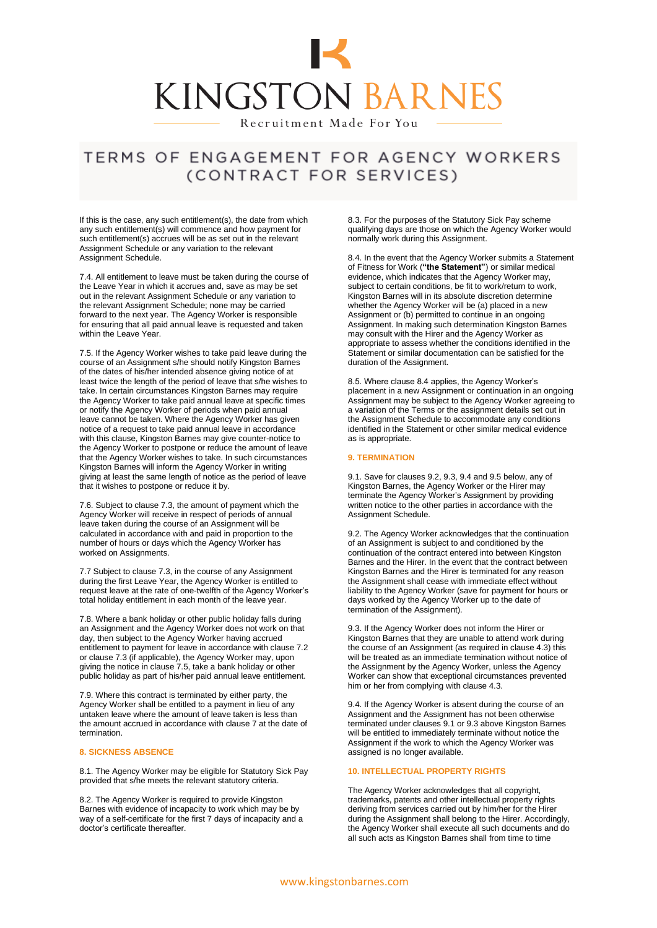

## TERMS OF ENGAGEMENT FOR AGENCY WORKERS (CONTRACT FOR SERVICES)

If this is the case, any such entitlement(s), the date from which any such entitlement(s) will commence and how payment for such entitlement(s) accrues will be as set out in the relevant Assignment Schedule or any variation to the relevant Assignment Schedule.

7.4. All entitlement to leave must be taken during the course of the Leave Year in which it accrues and, save as may be set out in the relevant Assignment Schedule or any variation to the relevant Assignment Schedule; none may be carried forward to the next year. The Agency Worker is responsible for ensuring that all paid annual leave is requested and taken within the Leave Year.

7.5. If the Agency Worker wishes to take paid leave during the course of an Assignment s/he should notify Kingston Barnes of the dates of his/her intended absence giving notice of at least twice the length of the period of leave that s/he wishes to take. In certain circumstances Kingston Barnes may require the Agency Worker to take paid annual leave at specific times or notify the Agency Worker of periods when paid annual leave cannot be taken. Where the Agency Worker has given notice of a request to take paid annual leave in accordance with this clause, Kingston Barnes may give counter-notice to the Agency Worker to postpone or reduce the amount of leave that the Agency Worker wishes to take. In such circumstances Kingston Barnes will inform the Agency Worker in writing giving at least the same length of notice as the period of leave that it wishes to postpone or reduce it by.

7.6. Subject to clause 7.3, the amount of payment which the Agency Worker will receive in respect of periods of annual leave taken during the course of an Assignment will be calculated in accordance with and paid in proportion to the number of hours or days which the Agency Worker has worked on Assignments.

7.7 Subject to clause 7.3, in the course of any Assignment during the first Leave Year, the Agency Worker is entitled to request leave at the rate of one-twelfth of the Agency Worker's total holiday entitlement in each month of the leave year.

7.8. Where a bank holiday or other public holiday falls during an Assignment and the Agency Worker does not work on that day, then subject to the Agency Worker having accrued entitlement to payment for leave in accordance with clause 7.2 or clause 7.3 (if applicable), the Agency Worker may, upon giving the notice in clause 7.5, take a bank holiday or other public holiday as part of his/her paid annual leave entitlement.

7.9. Where this contract is terminated by either party, the Agency Worker shall be entitled to a payment in lieu of any untaken leave where the amount of leave taken is less than the amount accrued in accordance with clause 7 at the date of termination.

#### **8. SICKNESS ABSENCE**

8.1. The Agency Worker may be eligible for Statutory Sick Pay provided that s/he meets the relevant statutory criteria.

8.2. The Agency Worker is required to provide Kingston Barnes with evidence of incapacity to work which may be by way of a self-certificate for the first 7 days of incapacity and a doctor's certificate thereafter.

8.3. For the purposes of the Statutory Sick Pay scheme qualifying days are those on which the Agency Worker would normally work during this Assignment.

8.4. In the event that the Agency Worker submits a Statement of Fitness for Work (**"the Statement"**) or similar medical evidence, which indicates that the Agency Worker may, subject to certain conditions, be fit to work/return to work, Kingston Barnes will in its absolute discretion determine whether the Agency Worker will be (a) placed in a new Assignment or (b) permitted to continue in an ongoing Assignment. In making such determination Kingston Barnes may consult with the Hirer and the Agency Worker as appropriate to assess whether the conditions identified in the Statement or similar documentation can be satisfied for the duration of the Assignment.

8.5. Where clause 8.4 applies, the Agency Worker's placement in a new Assignment or continuation in an ongoing Assignment may be subject to the Agency Worker agreeing to a variation of the Terms or the assignment details set out in the Assignment Schedule to accommodate any conditions identified in the Statement or other similar medical evidence as is appropriate.

#### **9. TERMINATION**

9.1. Save for clauses 9.2, 9.3, 9.4 and 9.5 below, any of Kingston Barnes, the Agency Worker or the Hirer may terminate the Agency Worker's Assignment by providing written notice to the other parties in accordance with the Assignment Schedule.

9.2. The Agency Worker acknowledges that the continuation of an Assignment is subject to and conditioned by the continuation of the contract entered into between Kingston Barnes and the Hirer. In the event that the contract between Kingston Barnes and the Hirer is terminated for any reason the Assignment shall cease with immediate effect without liability to the Agency Worker (save for payment for hours or days worked by the Agency Worker up to the date of termination of the Assignment).

9.3. If the Agency Worker does not inform the Hirer or Kingston Barnes that they are unable to attend work during the course of an Assignment (as required in clause 4.3) this will be treated as an immediate termination without notice of the Assignment by the Agency Worker, unless the Agency Worker can show that exceptional circumstances prevented him or her from complying with clause 4.3.

9.4. If the Agency Worker is absent during the course of an Assignment and the Assignment has not been otherwise terminated under clauses 9.1 or 9.3 above Kingston Barnes will be entitled to immediately terminate without notice the Assignment if the work to which the Agency Worker was assigned is no longer available.

### **10. INTELLECTUAL PROPERTY RIGHTS**

The Agency Worker acknowledges that all copyright, trademarks, patents and other intellectual property rights deriving from services carried out by him/her for the Hirer during the Assignment shall belong to the Hirer. Accordingly, the Agency Worker shall execute all such documents and do all such acts as Kingston Barnes shall from time to time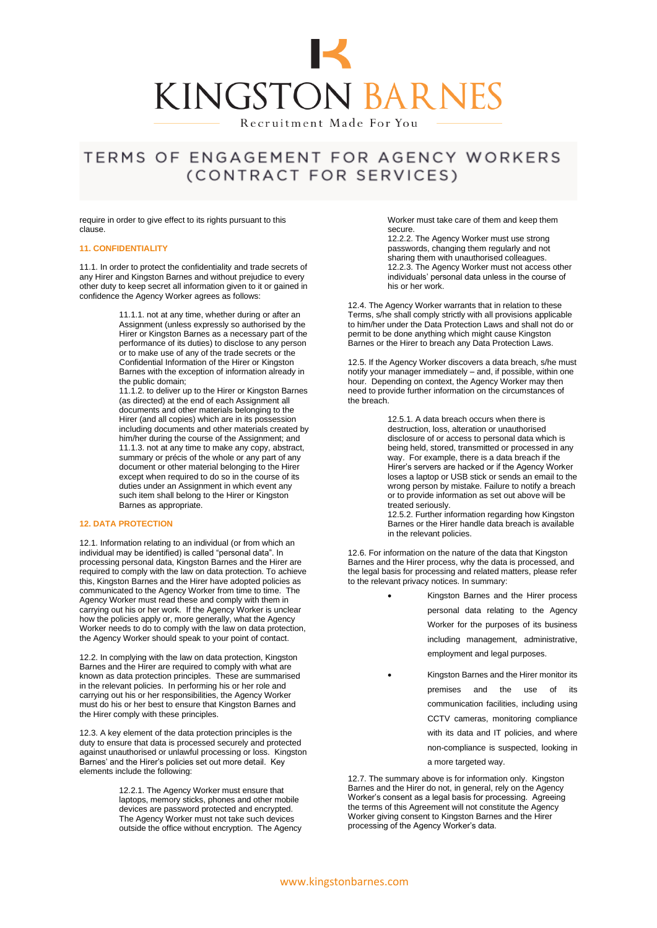

## TERMS OF ENGAGEMENT FOR AGENCY WORKERS (CONTRACT FOR SERVICES)

require in order to give effect to its rights pursuant to this clause.

### **11. CONFIDENTIALITY**

11.1. In order to protect the confidentiality and trade secrets of any Hirer and Kingston Barnes and without prejudice to every other duty to keep secret all information given to it or gained in confidence the Agency Worker agrees as follows:

> 11.1.1. not at any time, whether during or after an Assignment (unless expressly so authorised by the Hirer or Kingston Barnes as a necessary part of the performance of its duties) to disclose to any person or to make use of any of the trade secrets or the Confidential Information of the Hirer or Kingston Barnes with the exception of information already in the public domain;

> 11.1.2. to deliver up to the Hirer or Kingston Barnes (as directed) at the end of each Assignment all documents and other materials belonging to the Hirer (and all copies) which are in its possession including documents and other materials created by him/her during the course of the Assignment; and 11.1.3. not at any time to make any copy, abstract, summary or précis of the whole or any part of any document or other material belonging to the Hirer except when required to do so in the course of its duties under an Assignment in which event any such item shall belong to the Hirer or Kingston Barnes as appropriate.

### **12. DATA PROTECTION**

12.1. Information relating to an individual (or from which an individual may be identified) is called "personal data". In processing personal data, Kingston Barnes and the Hirer are required to comply with the law on data protection. To achieve this, Kingston Barnes and the Hirer have adopted policies as communicated to the Agency Worker from time to time. The Agency Worker must read these and comply with them in carrying out his or her work. If the Agency Worker is unclear how the policies apply or, more generally, what the Agency Worker needs to do to comply with the law on data protection, the Agency Worker should speak to your point of contact.

12.2. In complying with the law on data protection, Kingston Barnes and the Hirer are required to comply with what are known as data protection principles. These are summarised in the relevant policies. In performing his or her role and carrying out his or her responsibilities, the Agency Worker must do his or her best to ensure that Kingston Barnes and the Hirer comply with these principles.

12.3. A key element of the data protection principles is the duty to ensure that data is processed securely and protected against unauthorised or unlawful processing or loss. Kingston Barnes' and the Hirer's policies set out more detail. Key elements include the following:

> 12.2.1. The Agency Worker must ensure that laptops, memory sticks, phones and other mobile devices are password protected and encrypted. The Agency Worker must not take such devices outside the office without encryption. The Agency

Worker must take care of them and keep them secure.

12.2.2. The Agency Worker must use strong passwords, changing them regularly and not sharing them with unauthorised colleagues. 12.2.3. The Agency Worker must not access other individuals' personal data unless in the course of his or her work.

12.4. The Agency Worker warrants that in relation to these Terms, s/he shall comply strictly with all provisions applicable to him/her under the Data Protection Laws and shall not do or permit to be done anything which might cause Kingston Barnes or the Hirer to breach any Data Protection Laws.

12.5. If the Agency Worker discovers a data breach, s/he must notify your manager immediately – and, if possible, within one hour. Depending on context, the Agency Worker may then need to provide further information on the circumstances of the breach.

> 12.5.1. A data breach occurs when there is destruction, loss, alteration or unauthorised disclosure of or access to personal data which is being held, stored, transmitted or processed in any way. For example, there is a data breach if the Hirer's servers are hacked or if the Agency Worker loses a laptop or USB stick or sends an email to the wrong person by mistake. Failure to notify a breach or to provide information as set out above will be treated seriously.

> 12.5.2. Further information regarding how Kingston Barnes or the Hirer handle data breach is available in the relevant policies.

12.6. For information on the nature of the data that Kingston Barnes and the Hirer process, why the data is processed, and the legal basis for processing and related matters, please refer to the relevant privacy notices. In summary:

- Kingston Barnes and the Hirer process personal data relating to the Agency Worker for the purposes of its business including management, administrative, employment and legal purposes.
	- Kingston Barnes and the Hirer monitor its premises and the use of its communication facilities, including using CCTV cameras, monitoring compliance with its data and IT policies, and where non-compliance is suspected, looking in a more targeted way.

12.7. The summary above is for information only. Kingston Barnes and the Hirer do not, in general, rely on the Agency Worker's consent as a legal basis for processing. Agreeing the terms of this Agreement will not constitute the Agency Worker giving consent to Kingston Barnes and the Hirer processing of the Agency Worker's data.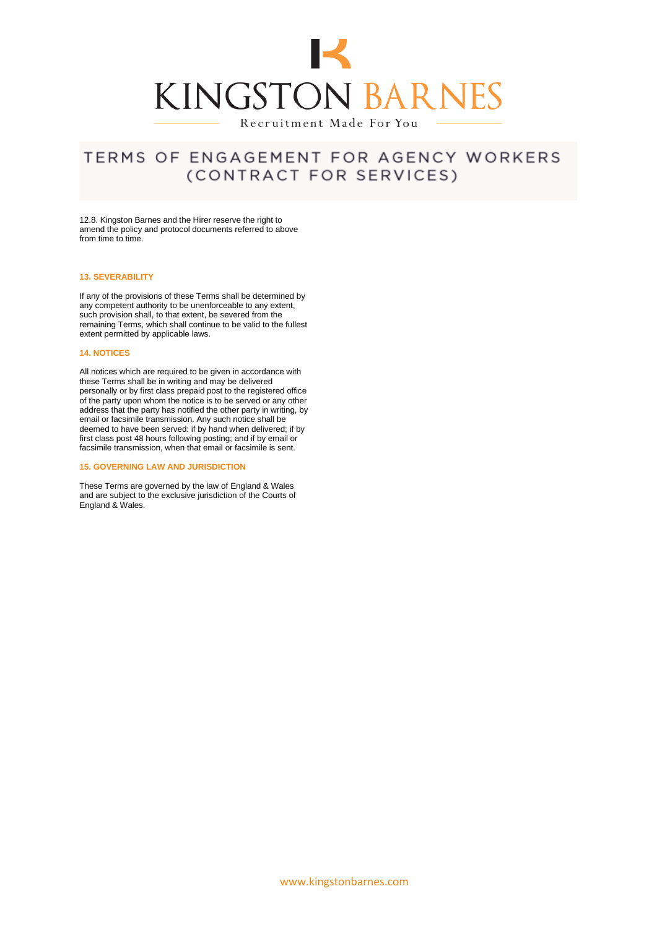

## TERMS OF ENGAGEMENT FOR AGENCY WORKERS (CONTRACT FOR SERVICES)

12.8. Kingston Barnes and the Hirer reserve the right to amend the policy and protocol documents referred to above from time to time.

### **13. SEVERABILITY**

If any of the provisions of these Terms shall be determined by any competent authority to be unenforceable to any extent, such provision shall, to that extent, be severed from the remaining Terms, which shall continue to be valid to the fullest extent permitted by applicable laws.

#### **14. NOTICES**

All notices which are required to be given in accordance with these Terms shall be in writing and may be delivered personally or by first class prepaid post to the registered office of the party upon whom the notice is to be served or any other address that the party has notified the other party in writing, by email or facsimile transmission. Any such notice shall be deemed to have been served: if by hand when delivered; if by first class post 48 hours following posting; and if by email or facsimile transmission, when that email or facsimile is sent.

### **15. GOVERNING LAW AND JURISDICTION**

These Terms are governed by the law of England & Wales and are subject to the exclusive jurisdiction of the Courts of England & Wales.